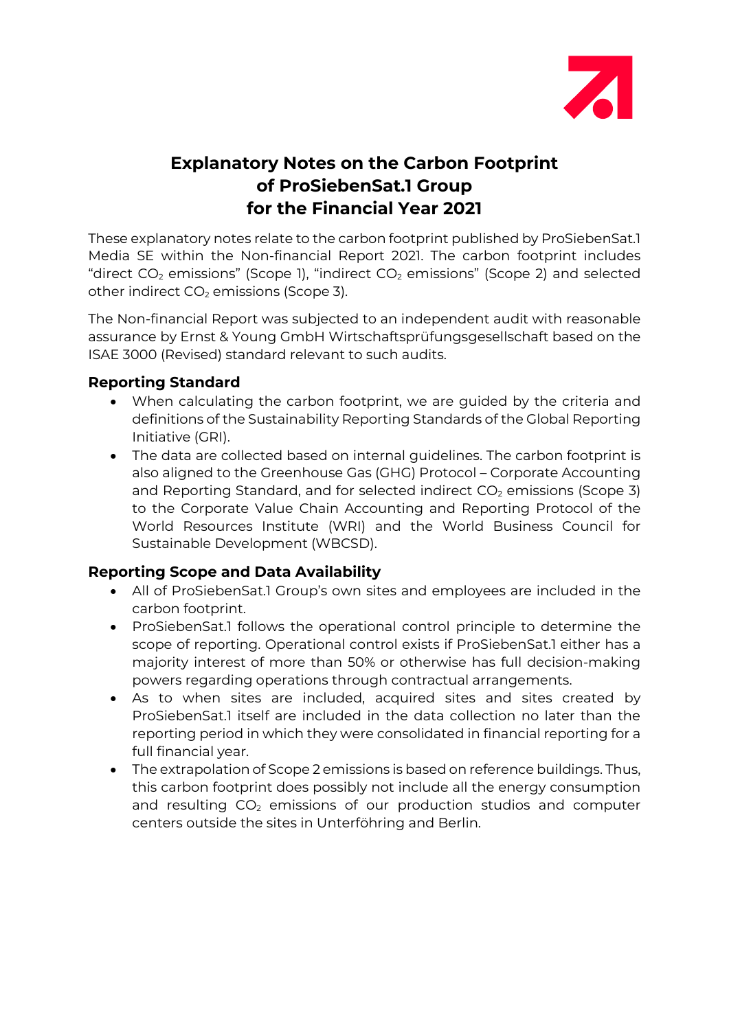

# **Explanatory Notes on the Carbon Footprint of ProSiebenSat.1 Group for the Financial Year 2021**

These explanatory notes relate to the carbon footprint published by ProSiebenSat.1 Media SE within the Non-financial Report 2021. The carbon footprint includes "direct  $CO<sub>2</sub>$  emissions" (Scope 1), "indirect  $CO<sub>2</sub>$  emissions" (Scope 2) and selected other indirect  $CO<sub>2</sub>$  emissions (Scope 3).

The Non-financial Report was subjected to an independent audit with reasonable assurance by Ernst & Young GmbH Wirtschaftsprüfungsgesellschaft based on the ISAE 3000 (Revised) standard relevant to such audits.

## **Reporting Standard**

- When calculating the carbon footprint, we are guided by the criteria and definitions of the Sustainability Reporting Standards of the Global Reporting Initiative (GRI).
- The data are collected based on internal guidelines. The carbon footprint is also aligned to the Greenhouse Gas (GHG) Protocol – Corporate Accounting and Reporting Standard, and for selected indirect  $CO<sub>2</sub>$  emissions (Scope 3) to the Corporate Value Chain Accounting and Reporting Protocol of the World Resources Institute (WRI) and the World Business Council for Sustainable Development (WBCSD).

## **Reporting Scope and Data Availability**

- All of ProSiebenSat.1 Group's own sites and employees are included in the carbon footprint.
- ProSiebenSat.1 follows the operational control principle to determine the scope of reporting. Operational control exists if ProSiebenSat.1 either has a majority interest of more than 50% or otherwise has full decision-making powers regarding operations through contractual arrangements.
- As to when sites are included, acquired sites and sites created by ProSiebenSat.1 itself are included in the data collection no later than the reporting period in which they were consolidated in financial reporting for a full financial year.
- The extrapolation of Scope 2 emissions is based on reference buildings. Thus, this carbon footprint does possibly not include all the energy consumption and resulting  $CO<sub>2</sub>$  emissions of our production studios and computer centers outside the sites in Unterföhring and Berlin.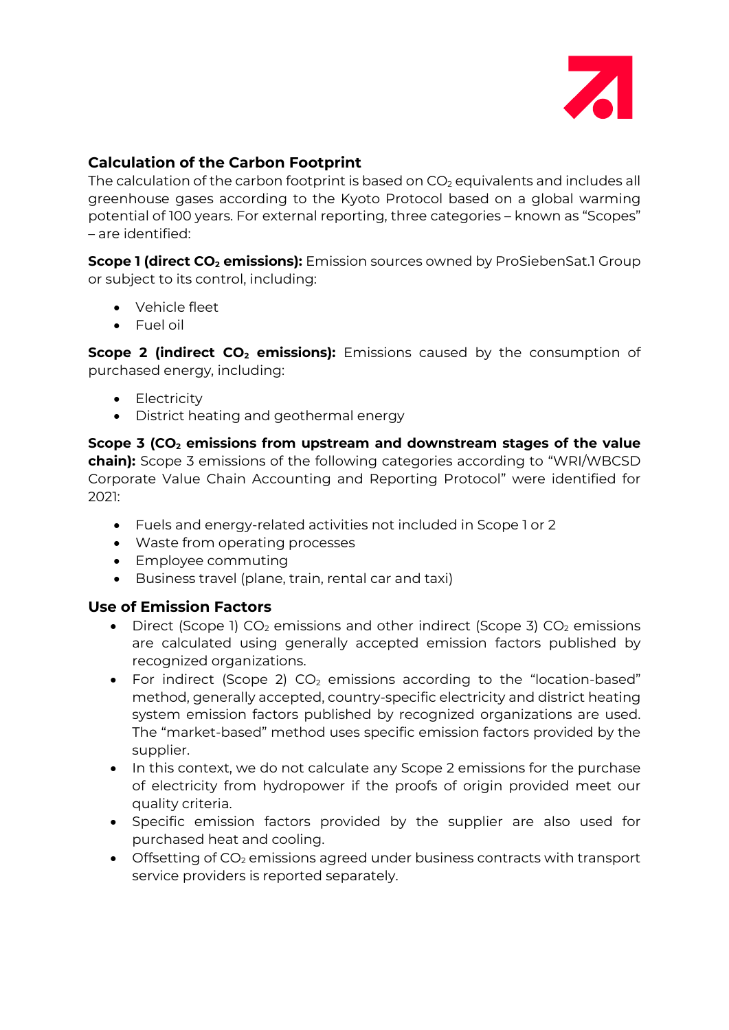

### **Calculation of the Carbon Footprint**

The calculation of the carbon footprint is based on  $CO<sub>2</sub>$  equivalents and includes all greenhouse gases according to the Kyoto Protocol based on a global warming potential of 100 years. For external reporting, three categories – known as "Scopes" – are identified:

**Scope 1 (direct CO<sub>2</sub> emissions):** Emission sources owned by ProSiebenSat.1 Group or subject to its control, including:

- Vehicle fleet
- Fuel oil

**Scope 2 (indirect CO<sub>2</sub> emissions):** Emissions caused by the consumption of purchased energy, including:

- Electricity
- District heating and geothermal energy

**Scope 3 (CO<sub>2</sub> emissions from upstream and downstream stages of the value chain):** Scope 3 emissions of the following categories according to "WRI/WBCSD Corporate Value Chain Accounting and Reporting Protocol" were identified for 2021:

- Fuels and energy-related activities not included in Scope 1 or 2
- Waste from operating processes
- Employee commuting
- Business travel (plane, train, rental car and taxi)

#### **Use of Emission Factors**

- Direct (Scope 1)  $CO<sub>2</sub>$  emissions and other indirect (Scope 3)  $CO<sub>2</sub>$  emissions are calculated using generally accepted emission factors published by recognized organizations.
- For indirect (Scope 2)  $CO<sub>2</sub>$  emissions according to the "location-based" method, generally accepted, country-specific electricity and district heating system emission factors published by recognized organizations are used. The "market-based" method uses specific emission factors provided by the supplier.
- In this context, we do not calculate any Scope 2 emissions for the purchase of electricity from hydropower if the proofs of origin provided meet our quality criteria.
- Specific emission factors provided by the supplier are also used for purchased heat and cooling.
- Offsetting of  $CO<sub>2</sub>$  emissions agreed under business contracts with transport service providers is reported separately.